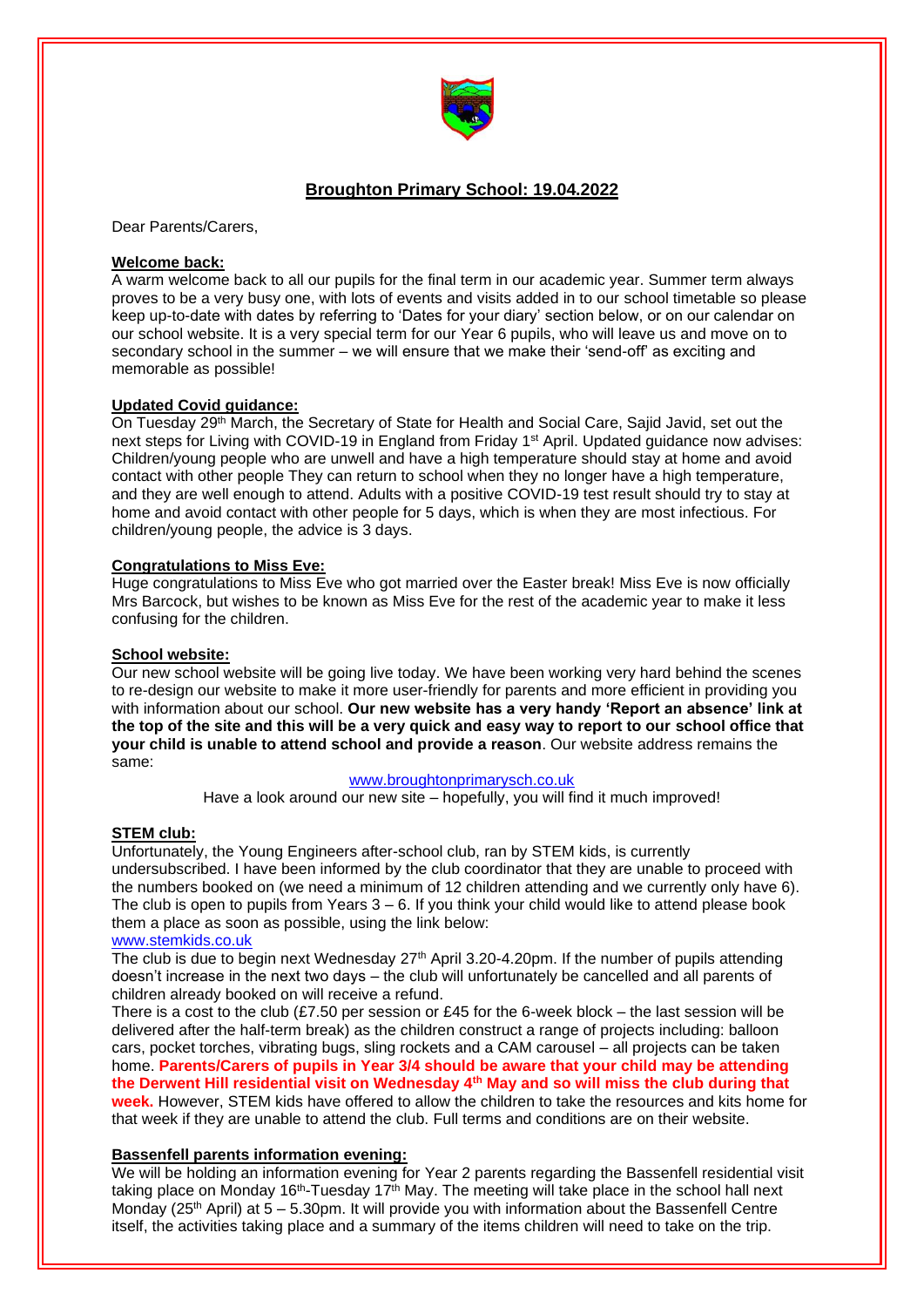

# **Broughton Primary School: 19.04.2022**

Dear Parents/Carers,

### **Welcome back:**

A warm welcome back to all our pupils for the final term in our academic year. Summer term always proves to be a very busy one, with lots of events and visits added in to our school timetable so please keep up-to-date with dates by referring to 'Dates for your diary' section below, or on our calendar on our school website. It is a very special term for our Year 6 pupils, who will leave us and move on to secondary school in the summer – we will ensure that we make their 'send-off' as exciting and memorable as possible!

# **Updated Covid guidance:**

On Tuesday 29th March, the Secretary of State for Health and Social Care, Sajid Javid, set out the next steps for Living with COVID-19 in England from Friday 1<sup>st</sup> April. Updated guidance now advises: Children/young people who are unwell and have a high temperature should stay at home and avoid contact with other people They can return to school when they no longer have a high temperature, and they are well enough to attend. Adults with a positive COVID-19 test result should try to stay at home and avoid contact with other people for 5 days, which is when they are most infectious. For children/young people, the advice is 3 days.

### **Congratulations to Miss Eve:**

Huge congratulations to Miss Eve who got married over the Easter break! Miss Eve is now officially Mrs Barcock, but wishes to be known as Miss Eve for the rest of the academic year to make it less confusing for the children.

### **School website:**

Our new school website will be going live today. We have been working very hard behind the scenes to re-design our website to make it more user-friendly for parents and more efficient in providing you with information about our school. **Our new website has a very handy 'Report an absence' link at the top of the site and this will be a very quick and easy way to report to our school office that your child is unable to attend school and provide a reason**. Our website address remains the same:

### [www.broughtonprimarysch.co.uk](http://www.broughtonprimarysch.co.uk/)

Have a look around our new site – hopefully, you will find it much improved!

# **STEM club:**

Unfortunately, the Young Engineers after-school club, ran by STEM kids, is currently undersubscribed. I have been informed by the club coordinator that they are unable to proceed with the numbers booked on (we need a minimum of 12 children attending and we currently only have 6). The club is open to pupils from Years  $3 - 6$ . If you think your child would like to attend please book them a place as soon as possible, using the link below:

#### [www.stemkids.co.uk](http://www.stemkids.co.uk/)

The club is due to begin next Wednesday 27<sup>th</sup> April 3.20-4.20pm. If the number of pupils attending doesn't increase in the next two days – the club will unfortunately be cancelled and all parents of children already booked on will receive a refund.

There is a cost to the club (£7.50 per session or £45 for the 6-week block – the last session will be delivered after the half-term break) as the children construct a range of projects including: balloon cars, pocket torches, vibrating bugs, sling rockets and a CAM carousel – all projects can be taken home. **Parents/Carers of pupils in Year 3/4 should be aware that your child may be attending the Derwent Hill residential visit on Wednesday 4th May and so will miss the club during that week.** However, STEM kids have offered to allow the children to take the resources and kits home for that week if they are unable to attend the club. Full terms and conditions are on their website.

### **Bassenfell parents information evening:**

We will be holding an information evening for Year 2 parents regarding the Bassenfell residential visit taking place on Monday 16<sup>th</sup>-Tuesday 17<sup>th</sup> May. The meeting will take place in the school hall next Monday ( $25<sup>th</sup>$  April) at  $5 - 5.30$ pm. It will provide you with information about the Bassenfell Centre itself, the activities taking place and a summary of the items children will need to take on the trip.